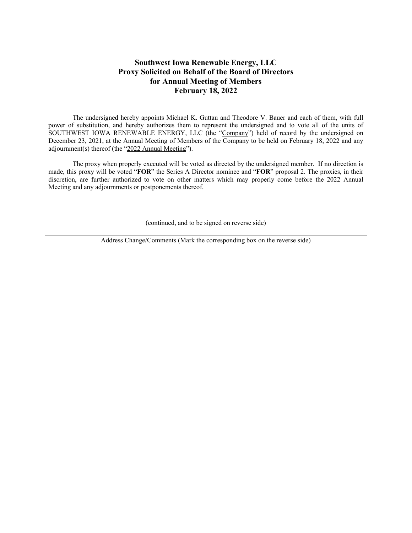## **Southwest Iowa Renewable Energy, LLC Proxy Solicited on Behalf of the Board of Directors for Annual Meeting of Members February 18, 2022**

The undersigned hereby appoints Michael K. Guttau and Theodore V. Bauer and each of them, with full power of substitution, and hereby authorizes them to represent the undersigned and to vote all of the units of SOUTHWEST IOWA RENEWABLE ENERGY, LLC (the "Company") held of record by the undersigned on December 23, 2021, at the Annual Meeting of Members of the Company to be held on February 18, 2022 and any adjournment(s) thereof (the "2022 Annual Meeting").

 The proxy when properly executed will be voted as directed by the undersigned member. If no direction is made, this proxy will be voted "**FOR**" the Series A Director nominee and "**FOR**" proposal 2. The proxies, in their discretion, are further authorized to vote on other matters which may properly come before the 2022 Annual Meeting and any adjournments or postponements thereof.

(continued, and to be signed on reverse side)

Address Change/Comments (Mark the corresponding box on the reverse side)